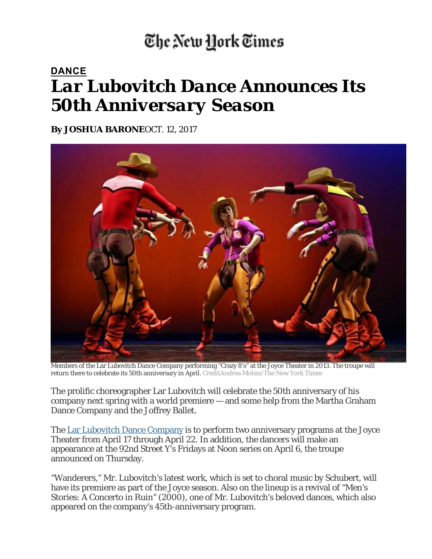## The New York Times

## **DANCE** *Lar Lubovitch Dance Announces Its 50th Anniversary Season*

**By JOSHUA BARONE**OCT. 12, 2017



Members of the Lar Lubovitch Dance Company performing "Crazy 8's" at the Joyce Theater in 2013. The troupe will return there to celebrate its 50th anniversary in April. CreditAndrea Mohin/The New York Times

The prolific choreographer Lar Lubovitch will celebrate the 50th anniversary of his company next spring with a world premiere — and some help from the Martha Graham Dance Company and the Joffrey Ballet.

The Lar Lubovitch Dance Company is to perform two anniversary programs at the Joyce Theater from April 17 through April 22. In addition, the dancers will make an appearance at the 92nd Street Y's Fridays at Noon series on April 6, the troupe announced on Thursday.

"Wanderers," Mr. Lubovitch's latest work, which is set to choral music by Schubert, will have its premiere as part of the Joyce season. Also on the lineup is a revival of "Men's Stories: A Concerto in Ruin" (2000), one of Mr. Lubovitch's beloved dances, which also appeared on the company's 45th-anniversary program.